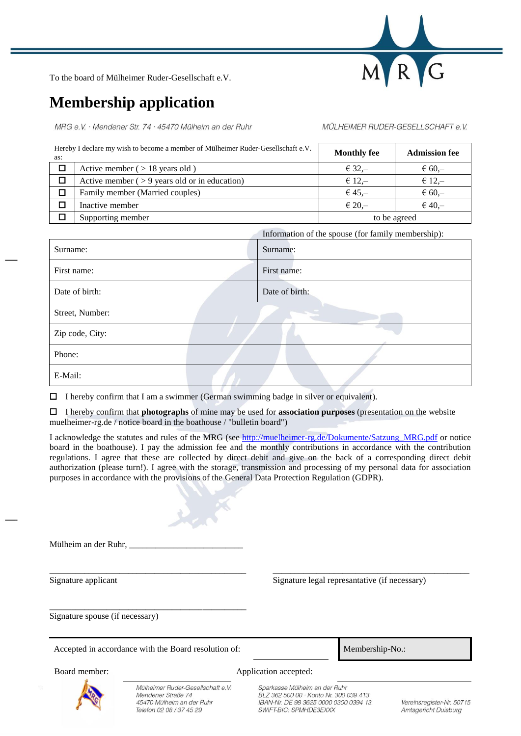

To the board of Mülheimer Ruder-Gesellschaft e.V.

## **Membership application**

MRG e.V. · Mendener Str. 74 · 45470 Mülheim an der Ruhr

## MÜLHEIMER RUDER-GESELLSCHAFT e.V.

| Hereby I declare my wish to become a member of Mülheimer Ruder-Gesellschaft e.V.<br>as: |                                                  | <b>Monthly fee</b> | <b>Admission fee</b> |
|-----------------------------------------------------------------------------------------|--------------------------------------------------|--------------------|----------------------|
|                                                                                         | Active member ( $> 18$ years old)                | $€ 32,-$           | $\epsilon$ 60,-      |
|                                                                                         | Active member $($ > 9 years old or in education) | $€ 12,-$           | $€ 12, -$            |
|                                                                                         | Family member (Married couples)                  | $645 -$            | $\epsilon$ 60,-      |
|                                                                                         | Inactive member                                  | $\epsilon$ 20.-    | $€ 40 -$             |
|                                                                                         | Supporting member                                | to be agreed       |                      |

|                 | Information of the spouse (for family membership): |                |  |
|-----------------|----------------------------------------------------|----------------|--|
| Surname:        |                                                    | Surname:       |  |
| First name:     |                                                    | First name:    |  |
| Date of birth:  |                                                    | Date of birth: |  |
| Street, Number: |                                                    |                |  |
| Zip code, City: |                                                    |                |  |
| Phone:          |                                                    |                |  |
| E-Mail:         |                                                    |                |  |

 $\Box$  I hereby confirm that I am a swimmer (German swimming badge in silver or equivalent).

I hereby confirm that **photographs** of mine may be used for **association purposes** (presentation on the website muelheimer-rg.de / notice board in the boathouse / "bulletin board")

I acknowledge the statutes and rules of the MRG (see [http://muelheimer-rg.de/Dokumente/Satzung\\_MRG.pdf](http://muelheimer-rg.de/Dokumente/Satzung_MRG.pdf) or notice board in the boathouse). I pay the admission fee and the monthly contributions in accordance with the contribution regulations. I agree that these are collected by direct debit and give on the back of a corresponding direct debit authorization (please turn!). I agree with the storage, transmission and processing of my personal data for association purposes in accordance with the provisions of the General Data Protection Regulation (GDPR).

\_\_\_\_\_\_\_\_\_\_\_\_\_\_\_\_\_\_\_\_\_\_\_\_\_\_\_\_\_\_\_\_\_\_\_\_\_\_\_\_\_\_\_\_\_ \_\_\_\_\_\_\_\_\_\_\_\_\_\_\_\_\_\_\_\_\_\_\_\_\_\_\_\_\_\_\_\_\_\_\_\_\_\_\_\_\_\_\_\_\_

| Mülheim an der Ruhr. |  |
|----------------------|--|
|                      |  |

Signature applicant Signature legal represantative (if necessary)

Signature spouse (if necessary)

Accepted in accordance with the Board resolution of: Membership-No.:

\_\_\_\_\_\_\_\_\_\_\_\_\_\_\_\_\_\_\_\_\_\_\_\_\_\_\_\_\_\_\_\_\_\_\_\_\_\_\_\_\_\_\_\_\_

Mülheimer Ruder-Gesellschaft e.V. Mendener Straße 74 45470 Mülheim an der Ruhr Telefon 02 08 / 37 45 29

Board member: Application accepted:

Sparkasse Mülheim an der Ruhr BLZ 362 500 00 · Konto Nr. 300 039 413 IBAN-Nr. DE 98 3625 0000 0300 0394 13 SWIFT-BIC: SPMHDE3EXXX

Vereinsregister-Nr. 50715 Amtsgericht Duisburg